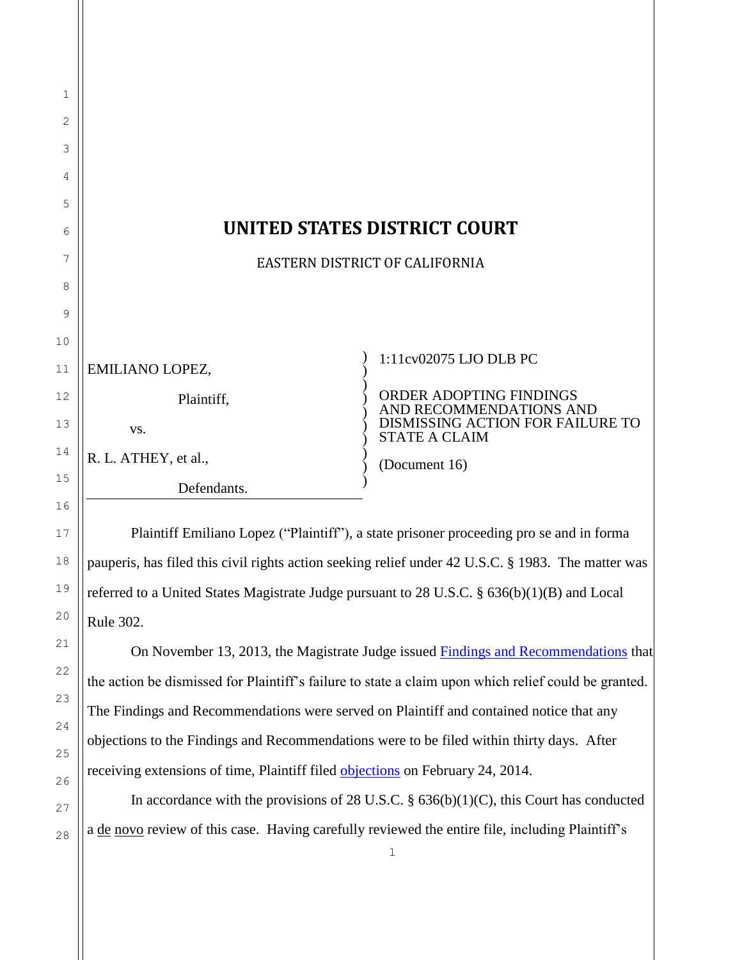| $\mathbf 1$ |                                     |                                                                                     |  |
|-------------|-------------------------------------|-------------------------------------------------------------------------------------|--|
| 2           |                                     |                                                                                     |  |
| 3           |                                     |                                                                                     |  |
| 4           |                                     |                                                                                     |  |
| 5           |                                     |                                                                                     |  |
| 6           | <b>UNITED STATES DISTRICT COURT</b> |                                                                                     |  |
| 7           | EASTERN DISTRICT OF CALIFORNIA      |                                                                                     |  |
| 8           |                                     |                                                                                     |  |
| 9           |                                     |                                                                                     |  |
| 10          |                                     |                                                                                     |  |
| 11          | EMILIANO LOPEZ,                     | 1:11cv02075 LJO DLB PC                                                              |  |
| 12          | Plaintiff,                          | ORDER ADOPTING FINDINGS                                                             |  |
| 13          | VS.                                 | AND RECOMMENDATIONS AND<br>DISMISSING ACTION FOR FAILURE TO<br><b>STATE A CLAIM</b> |  |
| 14          | R. L. ATHEY, et al.,                | (Document 16)                                                                       |  |
| 15          | Defendants.                         |                                                                                     |  |

Plaintiff Emiliano Lopez ("Plaintiff"), a state prisoner proceeding pro se and in forma pauperis, has filed this civil rights action seeking relief under 42 U.S.C. § 1983. The matter was referred to a United States Magistrate Judge pursuant to 28 U.S.C. § 636(b)(1)(B) and Local Rule 302.

16

17

18

19

20

21

22

23

24

25

26

27

28

On November 13, 2013, the Magistrate Judge issued [Findings and Recommendations](https://ecf.caed.uscourts.gov/doc1/03317060292) that the action be dismissed for Plaintiff's failure to state a claim upon which relief could be granted. The Findings and Recommendations were served on Plaintiff and contained notice that any objections to the Findings and Recommendations were to be filed within thirty days. After receiving extensions of time, Plaintiff filed [objections](https://ecf.caed.uscourts.gov/doc1/03317252862) on February 24, 2014.

In accordance with the provisions of 28 U.S.C.  $\S$  636(b)(1)(C), this Court has conducted a de novo review of this case. Having carefully reviewed the entire file, including Plaintiff's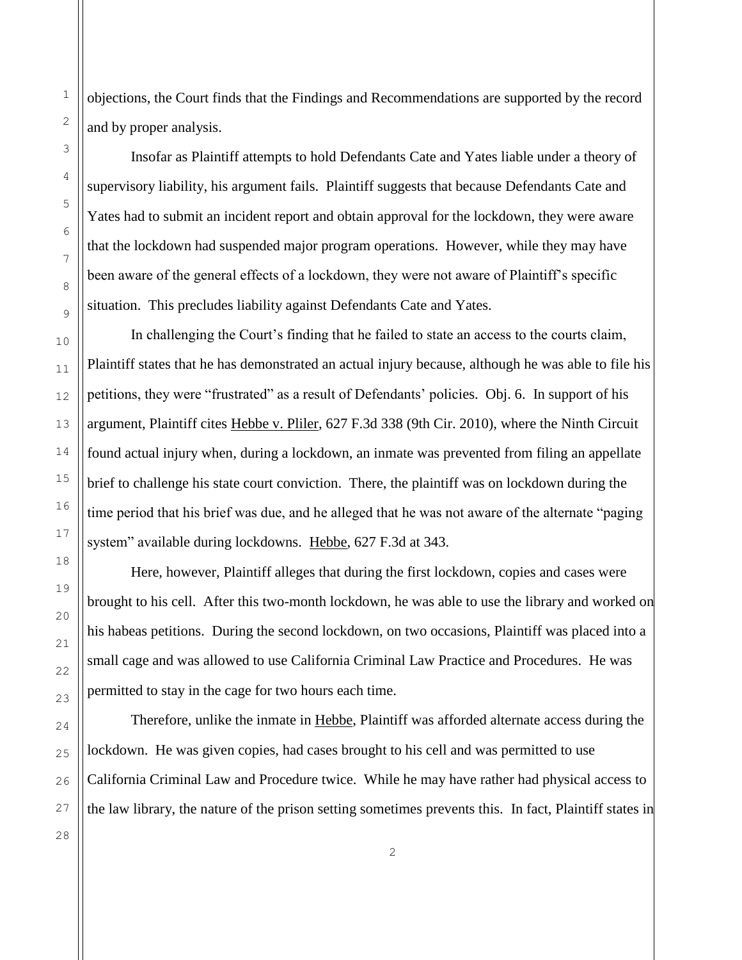objections, the Court finds that the Findings and Recommendations are supported by the record and by proper analysis.

Insofar as Plaintiff attempts to hold Defendants Cate and Yates liable under a theory of supervisory liability, his argument fails. Plaintiff suggests that because Defendants Cate and Yates had to submit an incident report and obtain approval for the lockdown, they were aware that the lockdown had suspended major program operations. However, while they may have been aware of the general effects of a lockdown, they were not aware of Plaintiff's specific situation. This precludes liability against Defendants Cate and Yates.

In challenging the Court's finding that he failed to state an access to the courts claim, Plaintiff states that he has demonstrated an actual injury because, although he was able to file his petitions, they were "frustrated" as a result of Defendants' policies. Obj. 6. In support of his argument, Plaintiff cites Hebbe v. Pliler, 627 F.3d 338 (9th Cir. 2010), where the Ninth Circuit found actual injury when, during a lockdown, an inmate was prevented from filing an appellate brief to challenge his state court conviction. There, the plaintiff was on lockdown during the time period that his brief was due, and he alleged that he was not aware of the alternate "paging system" available during lockdowns. Hebbe, 627 F.3d at 343.

Here, however, Plaintiff alleges that during the first lockdown, copies and cases were brought to his cell. After this two-month lockdown, he was able to use the library and worked on his habeas petitions. During the second lockdown, on two occasions, Plaintiff was placed into a small cage and was allowed to use California Criminal Law Practice and Procedures. He was permitted to stay in the cage for two hours each time.

Therefore, unlike the inmate in Hebbe, Plaintiff was afforded alternate access during the lockdown. He was given copies, had cases brought to his cell and was permitted to use California Criminal Law and Procedure twice. While he may have rather had physical access to the law library, the nature of the prison setting sometimes prevents this. In fact, Plaintiff states in